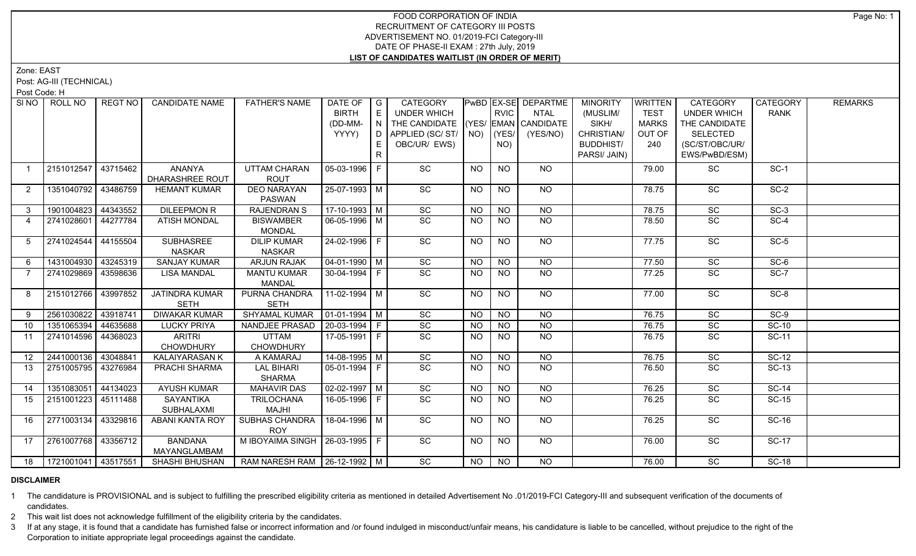Zone: EAST

Post: AG-III (TECHNICAL)

Post Code: H

|                | SINO ROLL NO               | REGT NO  | <b>CANDIDATE NAME</b>                  | <b>FATHER'S NAME</b>              | DATE OF<br><b>BIRTH</b>      | $\overline{\phantom{a}}$ G<br>E | <b>CATEGORY</b><br>UNDER WHICH     |           | <b>RVIC</b>                              | PwBD EX-SE DEPARTME<br><b>NTAL</b> | <b>MINORITY</b><br>(MUSLIM/ | WRITTEN<br><b>TEST</b> | CATEGORY<br><b>UNDER WHICH</b> | CATEGORY<br><b>RANK</b> | <b>REMARKS</b> |
|----------------|----------------------------|----------|----------------------------------------|-----------------------------------|------------------------------|---------------------------------|------------------------------------|-----------|------------------------------------------|------------------------------------|-----------------------------|------------------------|--------------------------------|-------------------------|----------------|
|                |                            |          |                                        |                                   | (DD-MM-                      | N                               | THE CANDIDATE (YES/ EMAN CANDIDATE |           |                                          |                                    | SIKH/                       | <b>MARKS</b>           | THE CANDIDATE                  |                         |                |
|                |                            |          |                                        |                                   | YYYY)                        |                                 | APPLIED (SC/ST/ NO)                |           | (YES/                                    | (YES/NO)                           | CHRISTIAN/                  | OUT OF                 | SELECTED                       |                         |                |
|                |                            |          |                                        |                                   |                              | E.                              | OBC/UR/ EWS)                       |           | NO)                                      |                                    | <b>BUDDHIST/</b>            | 240                    | (SC/ST/OBC/UR/                 |                         |                |
|                |                            |          |                                        |                                   |                              | R.                              |                                    |           |                                          |                                    | PARSI/ JAIN)                |                        | EWS/PwBD/ESM)                  |                         |                |
|                |                            |          |                                        |                                   |                              |                                 | SC                                 |           | <b>NO</b>                                |                                    |                             |                        |                                |                         |                |
|                | 2151012547                 | 43715462 | <b>ANANYA</b>                          | UTTAM CHARAN                      | $05-03-1996$   F             |                                 |                                    | <b>NO</b> |                                          | NO.                                |                             | 79.00                  | SC                             | $SC-1$                  |                |
| $\overline{2}$ | 1351040792                 | 43486759 | DHARASHREE ROUT<br><b>HEMANT KUMAR</b> | <b>ROUT</b><br><b>DEO NARAYAN</b> | $25-07-1993$ M               |                                 | SC                                 | <b>NO</b> | NO                                       | NO                                 |                             | 78.75                  | SC                             | $SC-2$                  |                |
|                |                            |          |                                        | PASWAN                            |                              |                                 |                                    |           |                                          |                                    |                             |                        |                                |                         |                |
| $\mathbf{3}$   | 1901004823                 | 44343552 | <b>DILEEPMON R</b>                     | <b>RAJENDRAN S</b>                | $17-10-1993$ M               |                                 | $\overline{SC}$                    | <b>NO</b> | <b>NO</b>                                | NO.                                |                             | 78.75                  | <b>SC</b>                      | $SC-3$                  |                |
| $\overline{4}$ | 2741028601                 | 44277784 | <b>ATISH MONDAL</b>                    | <b>BISWAMBER</b>                  | $06 - 05 - 1996$ M           |                                 | $\overline{SC}$                    | NO.       | <b>NO</b>                                | NO.                                |                             | 78.50                  | SC                             | $SC-4$                  |                |
|                |                            |          |                                        | <b>MONDAL</b>                     |                              |                                 |                                    |           |                                          |                                    |                             |                        |                                |                         |                |
| -5             | 2741024544                 | 44155504 | <b>SUBHASREE</b>                       | <b>DILIP KUMAR</b>                | 24-02-1996 F                 |                                 | $\overline{SC}$                    | <b>NO</b> | $\overline{NO}$                          | NO.                                |                             | 77.75                  | $\overline{SC}$                | $SC-5$                  |                |
|                |                            |          | <b>NASKAR</b>                          | <b>NASKAR</b>                     |                              |                                 |                                    |           |                                          |                                    |                             |                        |                                |                         |                |
| 6              | 1431004930                 | 43245319 | <b>SANJAY KUMAR</b>                    | <b>ARJUN RAJAK</b>                | $\boxed{04-01-1990}$ M       |                                 | $\overline{SC}$                    | NO.       | <b>NO</b>                                | NO.                                |                             | 77.50                  | $\overline{SC}$                | $SC-6$                  |                |
| $\overline{7}$ | 2741029869                 | 43598636 | <b>LISA MANDAL</b>                     | <b>MANTU KUMAR</b>                | $30-04-1994$ F               |                                 | $\overline{SC}$                    | NO        | $N$ <sup><math>\overline{O}</math></sup> | N <sub>O</sub>                     |                             | 77.25                  | $\overline{SC}$                | $SC-7$                  |                |
|                |                            |          |                                        | MANDAL                            |                              |                                 |                                    |           |                                          |                                    |                             |                        |                                |                         |                |
| 8              | 2151012766                 | 43997852 | <b>JATINDRA KUMAR</b>                  | PURNA CHANDRA                     | $11-02-1994$ M               |                                 | SC                                 | NO        | NO                                       | NO                                 |                             | 77.00                  | SC                             | $SC-8$                  |                |
|                |                            |          | <b>SETH</b>                            | <b>SETH</b>                       |                              |                                 |                                    |           |                                          |                                    |                             |                        |                                |                         |                |
| 9              | 2561030822                 | 43918741 | <b>DIWAKAR KUMAR</b>                   | SHYAMAL KUMAR                     | $\vert$ 01-01-1994 $\vert$ M |                                 | SC                                 | <b>NO</b> | <b>NO</b>                                | <b>NO</b>                          |                             | 76.75                  | SC                             | $SC-9$                  |                |
| 10             | 1351065394                 | 44635688 | <b>LUCKY PRIYA</b>                     | NANDJEE PRASAD   20-03-1994   F   |                              |                                 | SC                                 | NO.       | <b>NO</b>                                | NO.                                |                             | 76.75                  | SC                             | $SC-10$                 |                |
| 11             | 2741014596                 | 44368023 | <b>ARITRI</b>                          | <b>UTTAM</b>                      | 17-05-1991 F                 |                                 | SC                                 | NO.       | NO                                       | NO.                                |                             | 76.75                  | SC                             | <b>SC-11</b>            |                |
|                |                            |          | <b>CHOWDHURY</b>                       | <b>CHOWDHURY</b>                  |                              |                                 |                                    |           |                                          |                                    |                             |                        |                                |                         |                |
| 12             | 2441000136                 | 43048841 | KALAIYARASAN K                         | A KAMARAJ                         | $14 - 08 - 1995$ M           |                                 | $\overline{SC}$                    | <b>NO</b> | <b>NO</b>                                | NO.                                |                             | 76.75                  | $\overline{SC}$                | $SC-12$                 |                |
| 13             | 2751005795                 | 43276984 | PRACHI SHARMA                          | <b>LAL BIHARI</b>                 | $05-01-1994$ F               |                                 | SC                                 | NO.       | <b>NO</b>                                | NO.                                |                             | 76.50                  | SC                             | SC-13                   |                |
|                |                            |          |                                        | SHARMA                            |                              |                                 |                                    |           |                                          |                                    |                             |                        |                                |                         |                |
| 14             | 1351083051                 | 44134023 | <b>AYUSH KUMAR</b>                     | <b>MAHAVIR DAS</b>                | $\boxed{02-02-1997}$ M       |                                 | SC                                 | <b>NO</b> | <b>NO</b>                                | NO.                                |                             | 76.25                  | $\overline{SC}$                | $SC-14$                 |                |
| 15             | 2151001223                 | 45111488 | SAYANTIKA                              | <b>TRILOCHANA</b>                 | 16-05-1996 F                 |                                 | $\overline{SC}$                    | NO        | $\overline{NO}$                          | NO                                 |                             | 76.25                  | $\overline{SC}$                | $SC-15$                 |                |
|                |                            |          | <b>SUBHALAXMI</b>                      | <b>MAJHI</b>                      |                              |                                 |                                    |           |                                          |                                    |                             |                        |                                |                         |                |
| 16             | 2771003134                 | 43329816 | ABANI KANTA ROY                        | SUBHAS CHANDRA   18-04-1996   M   |                              |                                 | $\overline{SC}$                    | NO        | <b>NO</b>                                | NO                                 |                             | 76.25                  | <b>SC</b>                      | SC-16                   |                |
|                |                            |          |                                        | <b>ROY</b>                        |                              |                                 |                                    |           |                                          |                                    |                             |                        |                                |                         |                |
| 17             | 2761007768                 | 43356712 | <b>BANDANA</b>                         | M IBOYAIMA SINGH   26-03-1995   F |                              |                                 | SC                                 | <b>NO</b> | NO                                       | NO                                 |                             | 76.00                  | SC                             | $SC-17$                 |                |
|                |                            |          | MAYANGLAMBAM                           |                                   |                              |                                 |                                    |           |                                          |                                    |                             |                        |                                |                         |                |
|                | 18   1721001041   43517551 |          | <b>SHASHI BHUSHAN</b>                  | RAM NARESH RAM   26-12-1992   M   |                              |                                 | SC                                 | <b>NO</b> | <b>NO</b>                                | NO                                 |                             | 76.00                  | SC                             | <b>SC-18</b>            |                |

#### **DISCLAIMER**

1 The candidature is PROVISIONAL and is subject to fulfilling the prescribed eligibility criteria as mentioned in detailed Advertisement No .01/2019-FCI Category-III and subsequent verification of the documents of candidates.

2 This wait list does not acknowledge fulfillment of the eligibility criteria by the candidates.

3 If at any stage, it is found that a candidate has furnished false or incorrect information and /or found indulged in misconduct/unfair means, his candidature is liable to be cancelled, without prejudice to the right of t Corporation to initiate appropriate legal proceedings against the candidate.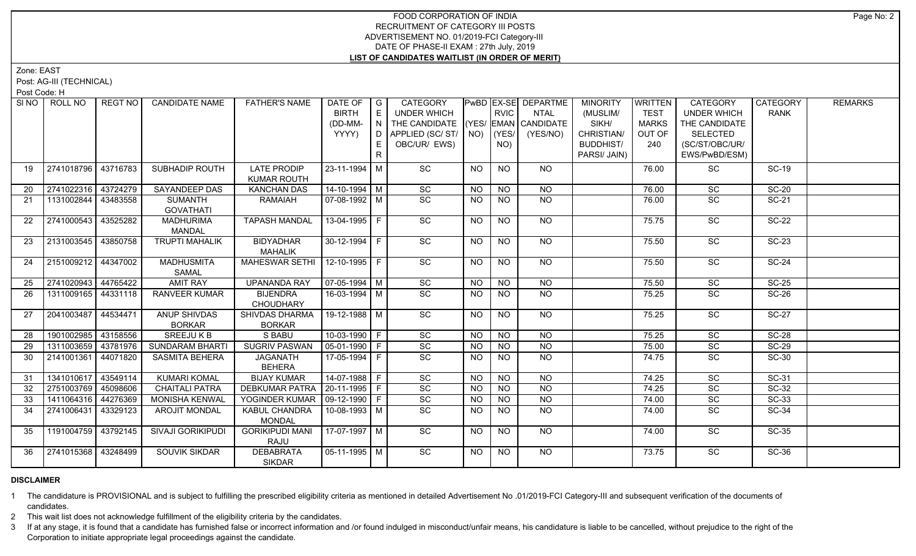Zone: EAST

Post: AG-III (TECHNICAL)

Post Code: H

| SINO | ROLL NO             | <b>REGT NO</b> | <b>CANDIDATE NAME</b>                | <b>FATHER'S NAME</b>                     | DATE OF   G           |    | <b>CATEGORY</b>                                                  |                | <b>RVIC</b>     | PwBD EX-SE DEPARTME | <b>MINORITY</b>   | WRITTEN                | CATEGORY                         | <b>CATEGORY</b> | <b>REMARKS</b> |
|------|---------------------|----------------|--------------------------------------|------------------------------------------|-----------------------|----|------------------------------------------------------------------|----------------|-----------------|---------------------|-------------------|------------------------|----------------------------------|-----------------|----------------|
|      |                     |                |                                      |                                          | <b>BIRTH</b>          | E  | UNDER WHICH                                                      |                |                 | <b>NTAL</b>         | (MUSLIM/<br>SIKH/ | <b>TEST</b>            | <b>UNDER WHICH</b>               | <b>RANK</b>     |                |
|      |                     |                |                                      |                                          | (DD-MM-<br>YYYY)      | N  | THE CANDIDATE (YES/ EMAN CANDIDATE<br>$D$ APPLIED (SC/ST/ $N$ O) |                | (YES/           | (YES/NO)            | CHRISTIAN/        | <b>MARKS</b><br>OUT OF | THE CANDIDATE<br><b>SELECTED</b> |                 |                |
|      |                     |                |                                      |                                          |                       |    | OBC/UR/ EWS)                                                     |                | NO)             |                     | <b>BUDDHIST/</b>  | 240                    | (SC/ST/OBC/UR/                   |                 |                |
|      |                     |                |                                      |                                          |                       | R. |                                                                  |                |                 |                     | PARSI/ JAIN)      |                        | EWS/PwBD/ESM)                    |                 |                |
|      |                     |                |                                      |                                          |                       |    |                                                                  |                |                 |                     |                   |                        |                                  |                 |                |
| 19   | 2741018796 43716783 |                | SUBHADIP ROUTH                       | <b>LATE PRODIP</b><br><b>KUMAR ROUTH</b> | 23-11-1994 M          |    | SC                                                               | NO.            | <b>NO</b>       | NO                  |                   | 76.00                  | SC                               | <b>SC-19</b>    |                |
| 20   | 2741022316          | 43724279       | SAYANDEEP DAS                        | <b>KANCHAN DAS</b>                       | $14 - 10 - 1994$ M    |    | SC                                                               | <b>NO</b>      | NO              | NO                  |                   | 76.00                  | SC                               | <b>SC-20</b>    |                |
| 21   | 1131002844          | 43483558       | <b>SUMANTH</b><br><b>GOVATHATI</b>   | <b>RAMAIAH</b>                           | $07-08-1992$ M        |    | $\overline{SC}$                                                  | <b>NO</b>      | NO.             | <b>NO</b>           |                   | 76.00                  | <b>SC</b>                        | <b>SC-21</b>    |                |
| 22   | 2741000543          | 43525282       | <b>MADHURIMA</b><br>MANDAL           | <b>TAPASH MANDAL</b>                     | $13 - 04 - 1995$ F    |    | $\overline{SC}$                                                  | <b>NO</b>      | <b>NO</b>       | <b>NO</b>           |                   | 75.75                  | $\overline{SC}$                  | $SC-22$         |                |
| 23   | 2131003545 43850758 |                | <b>TRUPTI MAHALIK</b>                | <b>BIDYADHAR</b>                         | $30-12-1994$ F        |    | $\overline{SC}$                                                  | <b>NO</b>      | <b>NO</b>       | N <sub>O</sub>      |                   | 75.50                  | $\overline{SC}$                  | $SC-23$         |                |
|      |                     |                |                                      | <b>MAHALIK</b>                           |                       |    |                                                                  |                |                 |                     |                   |                        |                                  |                 |                |
| 24   | 2151009212 44347002 |                | <b>MADHUSMITA</b><br>SAMAL           | MAHESWAR SETHI   12-10-1995   F          |                       |    | $\overline{SC}$                                                  | <b>NO</b>      | $N$ O           | $N$ O               |                   | 75.50                  | $\overline{SC}$                  | $SC-24$         |                |
| 25   | 2741020943 44765422 |                | <b>AMIT RAY</b>                      | <b>UPANANDA RAY</b>                      | $\sqrt{07-05-1994}$ M |    | SC                                                               | <b>NO</b>      | NO              | $N$ O               |                   | 75.50                  | SC                               | $SC-25$         |                |
| 26   | 1311009165 44331118 |                | <b>RANVEER KUMAR</b>                 | BIJENDRA                                 | 16-03-1994 M          |    | $\overline{SC}$                                                  | NO             | NO              | NO.                 |                   | 75.25                  | <b>SC</b>                        | <b>SC-26</b>    |                |
|      |                     |                |                                      | <b>CHOUDHARY</b>                         |                       |    |                                                                  |                |                 |                     |                   |                        |                                  |                 |                |
| 27   | 2041003487 44534471 |                | <b>ANUP SHIVDAS</b><br><b>BORKAR</b> | SHIVDAS DHARMA<br><b>BORKAR</b>          | $19-12-1988$ M        |    | SC                                                               | <b>NO</b>      | NO              | <b>NO</b>           |                   | 75.25                  | SC                               | $SC-27$         |                |
| 28   | 1901002985 43158556 |                | <b>SREEJUKB</b>                      | S BABU                                   | $10-03-1990$ F        |    | SC                                                               | <b>NO</b>      | $\overline{NO}$ | $\overline{NQ}$     |                   | 75.25                  | SC                               | $SC-28$         |                |
| 29   | 1311003659 43781976 |                | <b>SUNDARAM BHARTI</b>               | <b>SUGRIV PASWAN</b>                     | 05-01-1990 F          |    | SC                                                               | <b>NO</b>      | <b>NO</b>       | $\overline{NQ}$     |                   | 75.00                  | SC                               | $SC-29$         |                |
| 30   | 2141001361 44071820 |                | SASMITA BEHERA                       | JAGANATH<br><b>BEHERA</b>                | 17-05-1994   F        |    | SC                                                               | <b>NO</b>      | <b>NO</b>       | NO                  |                   | 74.75                  | SC                               | <b>SC-30</b>    |                |
| 31   | 1341010617 43549114 |                | <b>KUMARI KOMAL</b>                  | <b>BIJAY KUMAR</b>                       | 14-07-1988   F        |    | $\overline{SC}$                                                  | N <sub>O</sub> | N <sub>O</sub>  | $\overline{NO}$     |                   | 74.25                  | $\overline{SC}$                  | $SC-31$         |                |
| 32   | 2751003769 45098606 |                | <b>CHAITALI PATRA</b>                | DEBKUMAR PATRA   20-11-1995   F          |                       |    | $\overline{SC}$                                                  | <b>NO</b>      | N <sub>O</sub>  | N <sub>O</sub>      |                   | 74.25                  | $\overline{SC}$                  | $SC-32$         |                |
| 33   | 1411064316 44276369 |                | <b>MONISHA KENWAL</b>                | YOGINDER KUMAR                           | $ 09-12-1990 F$       |    | SC                                                               | <b>NO</b>      | <b>NO</b>       | <b>NO</b>           |                   | 74.00                  | $\overline{SC}$                  | $SC-33$         |                |
| 34   | 2741006431 43329123 |                | <b>AROJIT MONDAL</b>                 | <b>KABUL CHANDRA</b>                     | 10-08-1993 M          |    | $\overline{SC}$                                                  | NO.            | NO              | NO                  |                   | 74.00                  | $\overline{SC}$                  | $SC-34$         |                |
|      |                     |                |                                      | <b>MONDAL</b>                            |                       |    |                                                                  |                |                 |                     |                   |                        |                                  |                 |                |
| 35   | 1191004759 43792145 |                | SIVAJI GORIKIPUDI                    | <b>GORIKIPUDI MANI</b><br>RAJU           | $17-07-1997$ M        |    | $\overline{SC}$                                                  | <b>NO</b>      | <b>NO</b>       | NO                  |                   | 74.00                  | <b>SC</b>                        | $SC-35$         |                |
| 36   | 2741015368 43248499 |                | <b>SOUVIK SIKDAR</b>                 | <b>DEBABRATA</b><br><b>SIKDAR</b>        | $\sqrt{05-11-1995}$ M |    | SC                                                               | NO             | <b>NO</b>       | $N$ <sup>O</sup>    |                   | 73.75                  | SC                               | <b>SC-36</b>    |                |

#### **DISCLAIMER**

1 The candidature is PROVISIONAL and is subject to fulfilling the prescribed eligibility criteria as mentioned in detailed Advertisement No .01/2019-FCI Category-III and subsequent verification of the documents of candidates.

2 This wait list does not acknowledge fulfillment of the eligibility criteria by the candidates.

3 If at any stage, it is found that a candidate has furnished false or incorrect information and /or found indulged in misconduct/unfair means, his candidature is liable to be cancelled, without prejudice to the right of t Corporation to initiate appropriate legal proceedings against the candidate.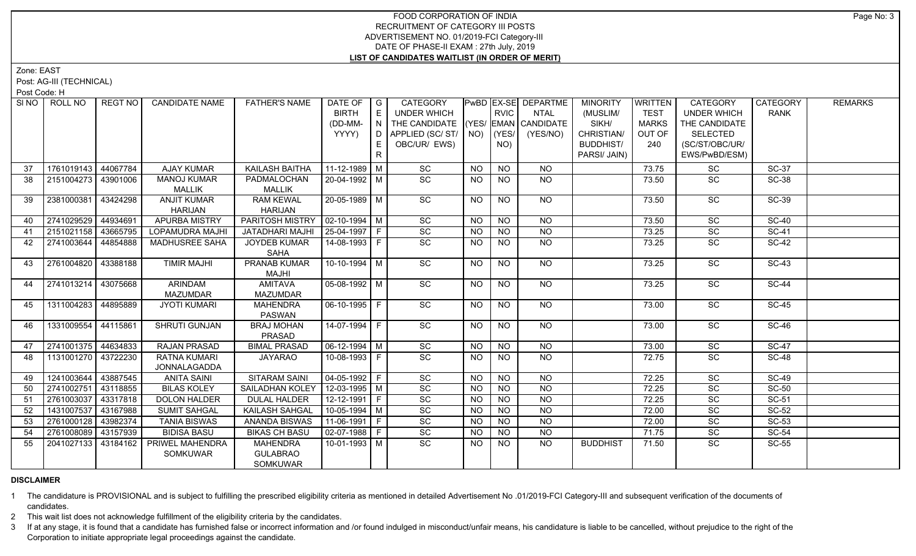Zone: EAST

Post: AG-III (TECHNICAL)

Post Code: H

| SI NO 1 | ROLL NO             | REGT NO  | <b>CANDIDATE NAME</b>  | <b>FATHER'S NAME</b>      | DATE OF<br><b>BIRTH</b>      | $\overline{\phantom{a}}$ $\overline{\phantom{a}}$<br>E | CATEGORY<br><b>UNDER WHICH</b>     |                | <b>RVIC</b>     | PwBD EX-SE DEPARTME<br><b>NTAL</b> | <b>MINORITY</b><br>(MUSLIM/ | <b>WRITTEN</b><br><b>TEST</b> | CATEGORY<br><b>UNDER WHICH</b> | CATEGORY<br><b>RANK</b> | <b>REMARKS</b> |
|---------|---------------------|----------|------------------------|---------------------------|------------------------------|--------------------------------------------------------|------------------------------------|----------------|-----------------|------------------------------------|-----------------------------|-------------------------------|--------------------------------|-------------------------|----------------|
|         |                     |          |                        |                           | (DD-MM-                      | $\overline{N}$                                         | THE CANDIDATE (YES/ EMAN CANDIDATE |                |                 |                                    | SIKH/                       | <b>MARKS</b>                  | THE CANDIDATE                  |                         |                |
|         |                     |          |                        |                           | YYYY)                        | D.                                                     | APPLIED (SC/ST/ NO)                |                | (YES/           | (YES/NO)                           | CHRISTIAN/                  | OUT OF                        | <b>SELECTED</b>                |                         |                |
|         |                     |          |                        |                           |                              | E                                                      | OBC/UR/ EWS)                       |                | NO)             |                                    | <b>BUDDHIST/</b>            | 240                           | (SC/ST/OBC/UR/                 |                         |                |
|         |                     |          |                        |                           |                              | R                                                      |                                    |                |                 |                                    | PARSI/ JAIN)                |                               | EWS/PwBD/ESM)                  |                         |                |
| 37      | 1761019143          | 44067784 | <b>AJAY KUMAR</b>      | KAILASH BAITHA            | 11-12-1989   M               |                                                        | $\operatorname{\textsf{SC}}$       | <b>NO</b>      | <b>NO</b>       | <b>NO</b>                          |                             | 73.75                         | SC                             | <b>SC-37</b>            |                |
| 38      | 2151004273          | 43901006 | <b>MANOJ KUMAR</b>     | PADMALOCHAN               | 20-04-1992   M               |                                                        | SC                                 | <b>NO</b>      | NO              | NO                                 |                             | 73.50                         | <b>SC</b>                      | <b>SC-38</b>            |                |
|         |                     |          | <b>MALLIK</b>          | <b>MALLIK</b>             |                              |                                                        |                                    |                |                 |                                    |                             |                               |                                |                         |                |
| 39      | 2381000381          | 43424298 | <b>ANJIT KUMAR</b>     | <b>RAM KEWAL</b>          | 20-05-1989 M                 |                                                        | SC                                 | <b>NO</b>      | <b>NO</b>       | NO                                 |                             | 73.50                         | SC                             | <b>SC-39</b>            |                |
|         |                     |          | <b>HARIJAN</b>         | <b>HARIJAN</b>            |                              |                                                        |                                    |                |                 |                                    |                             |                               |                                |                         |                |
| 40      | 2741029529          | 44934691 | <b>APURBA MISTRY</b>   | PARITOSH MISTRY           | $\vert$ 02-10-1994 $\vert$ M |                                                        | SC                                 | <b>NO</b>      | <b>NO</b>       | NO                                 |                             | 73.50                         | SC                             | <b>SC-40</b>            |                |
| 41      | 2151021158 43665795 |          | <b>LOPAMUDRA MAJHI</b> | JATADHARI MAJHI           | $ 25-04-1997 F$              |                                                        | SC                                 | <b>NO</b>      | $\overline{NO}$ | $\overline{NO}$                    |                             | 73.25                         | SC                             | $SC-41$                 |                |
| 42      | 2741003644          | 44854888 | <b>MADHUSREE SAHA</b>  | JOYDEB KUMAR              | 14-08-1993 F                 |                                                        | $\overline{SC}$                    | <b>NO</b>      | <b>NO</b>       | <b>NO</b>                          |                             | 73.25                         | SC                             | $SC-42$                 |                |
|         |                     |          |                        | SAHA                      |                              |                                                        |                                    |                |                 |                                    |                             |                               |                                |                         |                |
| 43      | 2761004820          | 43388188 | <b>TIMIR MAJHI</b>     | <b>PRANAB KUMAR</b>       | $10-10-1994$ M               |                                                        | $\overline{SC}$                    | <b>NO</b>      | $\overline{NO}$ | $N$ <sup>O</sup>                   |                             | 73.25                         | $\overline{SC}$                | $SC-43$                 |                |
|         |                     |          |                        | MAJHI                     |                              |                                                        |                                    |                |                 |                                    |                             |                               |                                |                         |                |
| 44      | 2741013214          | 43075668 | <b>ARINDAM</b>         | <b>AMITAVA</b>            | 05-08-1992 M                 |                                                        | $\overline{SC}$                    | <b>NO</b>      | <b>NO</b>       | NO.                                |                             | 73.25                         | $\overline{SC}$                | $SC-44$                 |                |
|         |                     |          | <b>MAZUMDAR</b>        | <b>MAZUMDAR</b>           |                              |                                                        |                                    |                |                 |                                    |                             |                               |                                |                         |                |
| 45      | 1311004283          | 44895889 | <b>JYOTI KUMARI</b>    | <b>MAHENDRA</b><br>PASWAN | 06-10-1995 F                 |                                                        | SC                                 | <b>NO</b>      | NO.             | NO.                                |                             | 73.00                         | <b>SC</b>                      | <b>SC-45</b>            |                |
| 46      | 1331009554          | 44115861 | SHRUTI GUNJAN          | <b>BRAJ MOHAN</b>         | $14-07-1994$ F               |                                                        | SC                                 | <b>NO</b>      | <b>NO</b>       | <b>NO</b>                          |                             | 73.00                         | SC                             | <b>SC-46</b>            |                |
|         |                     |          |                        | PRASAD                    |                              |                                                        |                                    |                |                 |                                    |                             |                               |                                |                         |                |
| 47      | 2741001375 44634833 |          | RAJAN PRASAD           | <b>BIMAL PRASAD</b>       | $\mid$ 06-12-1994 $\mid$ M   |                                                        | SC                                 | <b>NO</b>      | <b>NO</b>       | NO                                 |                             | 73.00                         | SC                             | $SC-47$                 |                |
| 48      | 1131001270 43722230 |          | <b>RATNA KUMARI</b>    | JAYARAO                   | 10-08-1993 F                 |                                                        | $\overline{SC}$                    | <b>NO</b>      | <b>NO</b>       | $\overline{NO}$                    |                             | 72.75                         | $\overline{SC}$                | <b>SC-48</b>            |                |
|         |                     |          | JONNALAGADDA           |                           |                              |                                                        |                                    |                |                 |                                    |                             |                               |                                |                         |                |
| 49      | 1241003644          | 43887545 | <b>ANITA SAINI</b>     | <b>SITARAM SAINI</b>      | $04 - 05 - 1992$ F           |                                                        | $\overline{SC}$                    | <b>NO</b>      | <b>NO</b>       | <b>NO</b>                          |                             | 72.25                         | SC                             | <b>SC-49</b>            |                |
| 50      | 2741002751          | 43118855 | <b>BILAS KOLEY</b>     | <b>SAILADHAN KOLEY</b>    | $12-03-1995$ M               |                                                        | $\overline{SC}$                    | N <sub>O</sub> | $\overline{NO}$ | $\overline{NO}$                    |                             | 72.25                         | $\overline{SC}$                | $SC-50$                 |                |
| 51      | 2761003037          | 43317818 | <b>DOLON HALDER</b>    | <b>DULAL HALDER</b>       | $12-12-1991$ F               |                                                        | SC                                 | <b>NO</b>      | N <sub>O</sub>  | N <sub>O</sub>                     |                             | 72.25                         | $\overline{SC}$                | $SC-51$                 |                |
| 52      | 1431007537          | 43167988 | <b>SUMIT SAHGAL</b>    | KAILASH SAHGAL            | 10-05-1994 M                 |                                                        | $\overline{SC}$                    | <b>NO</b>      | <b>NO</b>       | <b>NO</b>                          |                             | 72.00                         | $\overline{SC}$                | $SC-52$                 |                |
| 53      | 2761000128          | 43982374 | <b>TANIA BISWAS</b>    | ANANDA BISWAS             | $11-06-1991$ F               |                                                        | $\overline{SC}$                    | <b>NO</b>      | N <sub>O</sub>  | $\overline{NO}$                    |                             | 72.00                         | $\overline{SC}$                | $SC-53$                 |                |
| 54      | 2761008089          | 43157939 | <b>BIDISA BASU</b>     | <b>BIKAS CH BASU</b>      | 02-07-1988 F                 |                                                        | $\overline{SC}$                    | <b>NO</b>      | <b>NO</b>       | <b>NO</b>                          |                             | 71.75                         | $\overline{SC}$                | $SC-54$                 |                |
| 55      | 2041027133          | 43184162 | <b>PRIWEL MAHENDRA</b> | <b>MAHENDRA</b>           | 10-01-1993 M                 |                                                        | $\overline{SC}$                    | NO.            | NO.             | NO                                 | <b>BUDDHIST</b>             | 71.50                         | SC                             | $SC-55$                 |                |
|         |                     |          | <b>SOMKUWAR</b>        | <b>GULABRAO</b>           |                              |                                                        |                                    |                |                 |                                    |                             |                               |                                |                         |                |
|         |                     |          |                        | SOMKUWAR                  |                              |                                                        |                                    |                |                 |                                    |                             |                               |                                |                         |                |

# **DISCLAIMER**

1 The candidature is PROVISIONAL and is subject to fulfilling the prescribed eligibility criteria as mentioned in detailed Advertisement No .01/2019-FCI Category-III and subsequent verification of the documents of candidates.

2 This wait list does not acknowledge fulfillment of the eligibility criteria by the candidates.

3 If at any stage, it is found that a candidate has furnished false or incorrect information and /or found indulged in misconduct/unfair means, his candidature is liable to be cancelled, without prejudice to the right of t Corporation to initiate appropriate legal proceedings against the candidate.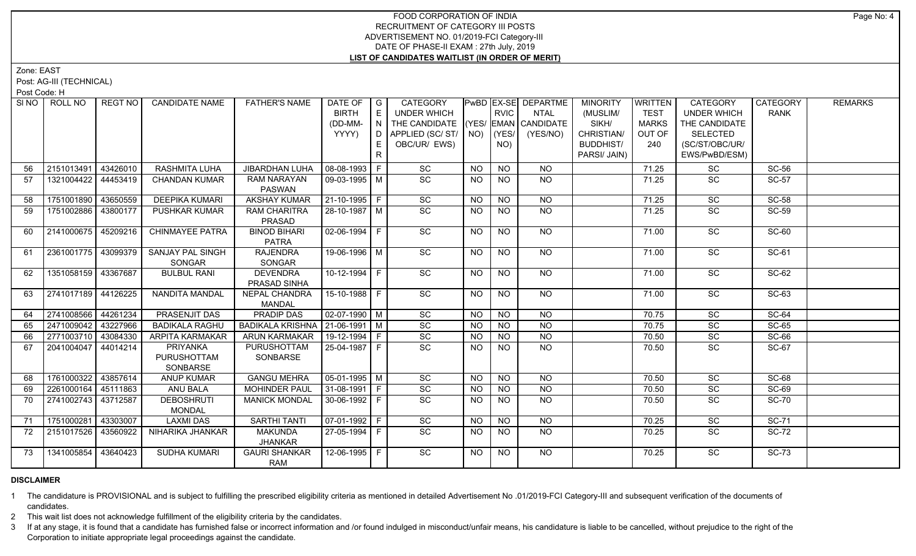Zone: EAST

Post: AG-III (TECHNICAL)

Post Code: H

| SI <sub>NO</sub> | ROLL NO             | <b>REGT NO</b> | <b>CANDIDATE NAME</b>   | <b>FATHER'S NAME</b>              | DATE OF   G           |    | CATEGORY                           |                |                | PwBD EX-SE DEPARTME | <b>MINORITY</b>  | WRITTEN      | CATEGORY           | CATEGORY     | <b>REMARKS</b> |
|------------------|---------------------|----------------|-------------------------|-----------------------------------|-----------------------|----|------------------------------------|----------------|----------------|---------------------|------------------|--------------|--------------------|--------------|----------------|
|                  |                     |                |                         |                                   | <b>BIRTH</b>          | E  | UNDER WHICH                        |                | <b>RVIC</b>    | <b>NTAL</b>         | (MUSLIM/         | <b>TEST</b>  | <b>UNDER WHICH</b> | <b>RANK</b>  |                |
|                  |                     |                |                         |                                   | (DD-MM-               | N  | THE CANDIDATE (YES/ EMAN CANDIDATE |                |                |                     | SIKH/            | <b>MARKS</b> | THE CANDIDATE      |              |                |
|                  |                     |                |                         |                                   | YYYY)                 | D. | APPLIED (SC/ST/ NO)                |                | (YES/          | (YES/NO)            | CHRISTIAN/       | OUT OF       | <b>SELECTED</b>    |              |                |
|                  |                     |                |                         |                                   |                       | E. | OBC/UR/ EWS)                       |                | NO)            |                     | <b>BUDDHIST/</b> | 240          | (SC/ST/OBC/UR/     |              |                |
|                  |                     |                |                         |                                   |                       | R. |                                    |                |                |                     | PARSI/ JAIN)     |              | EWS/PwBD/ESM)      |              |                |
| 56               | 2151013491 43426010 |                | <b>RASHMITA LUHA</b>    | JIBARDHAN LUHA                    | 08-08-1993   F        |    | SC                                 | <b>NO</b>      | <b>NO</b>      | <b>NO</b>           |                  | 71.25        | SC                 | SC-56        |                |
| 57               | 1321004422          | 44453419       | <b>CHANDAN KUMAR</b>    | <b>RAM NARAYAN</b>                | $\sqrt{09-03-1995}$ M |    | $\overline{SC}$                    | <b>NO</b>      | NO             | $N$ <sup>O</sup>    |                  | 71.25        | SC                 | <b>SC-57</b> |                |
|                  |                     |                |                         | <b>PASWAN</b>                     |                       |    |                                    |                |                |                     |                  |              |                    |              |                |
| 58               | 1751001890          | 43650559       | <b>DEEPIKA KUMARI</b>   | <b>AKSHAY KUMAR</b>               | $21-10-1995$ F        |    | SC                                 | <b>NO</b>      | <b>NO</b>      | <b>NO</b>           |                  | 71.25        | SC                 | <b>SC-58</b> |                |
| 59               | 1751002886 43800177 |                | PUSHKAR KUMAR           | <b>RAM CHARITRA</b>               | 28-10-1987 M          |    | SC                                 | NO.            | <b>NO</b>      | <b>NO</b>           |                  | 71.25        | SC                 | <b>SC-59</b> |                |
|                  |                     |                |                         | PRASAD                            |                       |    |                                    |                |                |                     |                  |              |                    |              |                |
| 60               | 2141000675 45209216 |                | <b>CHINMAYEE PATRA</b>  | <b>BINOD BIHARI</b>               | 02-06-1994   F        |    | SC                                 | <b>NO</b>      | <b>NO</b>      | NO                  |                  | 71.00        | $\overline{SC}$    | $SC-60$      |                |
|                  |                     |                |                         | <b>PATRA</b>                      |                       |    |                                    |                |                |                     |                  |              |                    |              |                |
| 61               | 2361001775 43099379 |                | <b>SANJAY PAL SINGH</b> | <b>RAJENDRA</b>                   | 19-06-1996 M          |    | $\overline{SC}$                    | N <sub>O</sub> | N <sub>O</sub> | $N$ <sup>O</sup>    |                  | 71.00        | $\overline{SC}$    | $SC-61$      |                |
|                  |                     |                | SONGAR                  | SONGAR                            |                       |    |                                    |                |                |                     |                  |              |                    |              |                |
| 62               | 1351058159 43367687 |                | <b>BULBUL RANI</b>      | <b>DEVENDRA</b>                   | $10-12-1994$ F        |    | $\overline{SC}$                    | NO.            | <b>NO</b>      | NO                  |                  | 71.00        | SC                 | $SC-62$      |                |
|                  |                     |                |                         | PRASAD SINHA                      |                       |    |                                    |                |                |                     |                  |              |                    |              |                |
| 63               | 2741017189 44126225 |                | NANDITA MANDAL          | <b>NEPAL CHANDRA</b>              | $15-10-1988$ F        |    | SC                                 | <b>NO</b>      | <b>NO</b>      | NO.                 |                  | 71.00        | <b>SC</b>          | SC-63        |                |
|                  |                     |                |                         | <b>MANDAL</b>                     |                       |    |                                    |                |                |                     |                  |              |                    |              |                |
| 64               | 2741008566 44261234 |                | PRASENJIT DAS           | <b>PRADIP DAS</b>                 | $\sqrt{02-07-1990}$ M |    | SC                                 | <b>NO</b>      | <b>NO</b>      | <b>NO</b>           |                  | 70.75        | SC                 | <b>SC-64</b> |                |
| 65               | 2471009042 43227966 |                | <b>BADIKALA RAGHU</b>   | BADIKALA KRISHNA   21-06-1991   M |                       |    | SC                                 | <b>NO</b>      | <b>NO</b>      | $\overline{N}$      |                  | 70.75        | SC                 | $SC-65$      |                |
| 66               | 2771003710 43084330 |                | <b>ARPITA KARMAKAR</b>  | ARUN KARMAKAR                     | 19-12-1994 F          |    | SC                                 | NO.            | <b>NO</b>      | <b>NO</b>           |                  | 70.50        | SC                 | SC-66        |                |
| 67               | 2041004047 44014214 |                | PRIYANKA                | PURUSHOTTAM                       | 25-04-1987 F          |    | SC                                 | <b>NO</b>      | <b>NO</b>      | $\overline{NQ}$     |                  | 70.50        | $\overline{SC}$    | $SC-67$      |                |
|                  |                     |                | PURUSHOTTAM             | SONBARSE                          |                       |    |                                    |                |                |                     |                  |              |                    |              |                |
|                  |                     |                | SONBARSE                |                                   |                       |    |                                    |                |                |                     |                  |              |                    |              |                |
| 68               | 1761000322 43857614 |                | ANUP KUMAR              | <b>GANGU MEHRA</b>                | $\sqrt{05-01-1995}$ M |    | SC                                 | <b>NO</b>      | NO             | $N$ <sup>O</sup>    |                  | 70.50        | SC                 | <b>SC-68</b> |                |
| 69               | 2261000164 45111863 |                | <b>ANU BALA</b>         | <b>MOHINDER PAUL</b>              | $31-08-1991$ F        |    | $\overline{SC}$                    | <b>NO</b>      | NO             | N <sub>O</sub>      |                  | 70.50        | $\overline{SC}$    | $SC-69$      |                |
| 70               | 2741002743          | 43712587       | <b>DEBOSHRUTI</b>       | <b>MANICK MONDAL</b>              | 30-06-1992 F          |    | SC                                 | <b>NO</b>      | <b>NO</b>      | <b>NO</b>           |                  | 70.50        | SC                 | <b>SC-70</b> |                |
|                  |                     |                | <b>MONDAL</b>           |                                   |                       |    |                                    |                |                |                     |                  |              |                    |              |                |
| 71               | 1751000281          | 43303007       | <b>LAXMI DAS</b>        | <b>SARTHI TANTI</b>               | $\sqrt{07-01-1992}$ F |    | SC                                 | <b>NO</b>      | <b>NO</b>      | <b>NO</b>           |                  | 70.25        | SC                 | <b>SC-71</b> |                |
| 72               | 2151017526          | 43560922       | NIHARIKA JHANKAR        | <b>MAKUNDA</b>                    | 27-05-1994 F          |    | $\overline{SC}$                    | <b>NO</b>      | NO.            | NO                  |                  | 70.25        | SC                 | <b>SC-72</b> |                |
|                  |                     |                |                         | <b>JHANKAR</b>                    |                       |    |                                    |                |                |                     |                  |              |                    |              |                |
| 73               | 1341005854 43640423 |                | <b>SUDHA KUMARI</b>     | <b>GAURI SHANKAR</b>              | $12 - 06 - 1995$ F    |    | SC                                 | <b>NO</b>      | <b>NO</b>      | $\overline{NO}$     |                  | 70.25        | $\overline{SC}$    | $SC-73$      |                |
|                  |                     |                |                         | RAM                               |                       |    |                                    |                |                |                     |                  |              |                    |              |                |

# **DISCLAIMER**

1 The candidature is PROVISIONAL and is subject to fulfilling the prescribed eligibility criteria as mentioned in detailed Advertisement No .01/2019-FCI Category-III and subsequent verification of the documents of candidates.

2 This wait list does not acknowledge fulfillment of the eligibility criteria by the candidates.

3 If at any stage, it is found that a candidate has furnished false or incorrect information and /or found indulged in misconduct/unfair means, his candidature is liable to be cancelled, without prejudice to the right of t Corporation to initiate appropriate legal proceedings against the candidate.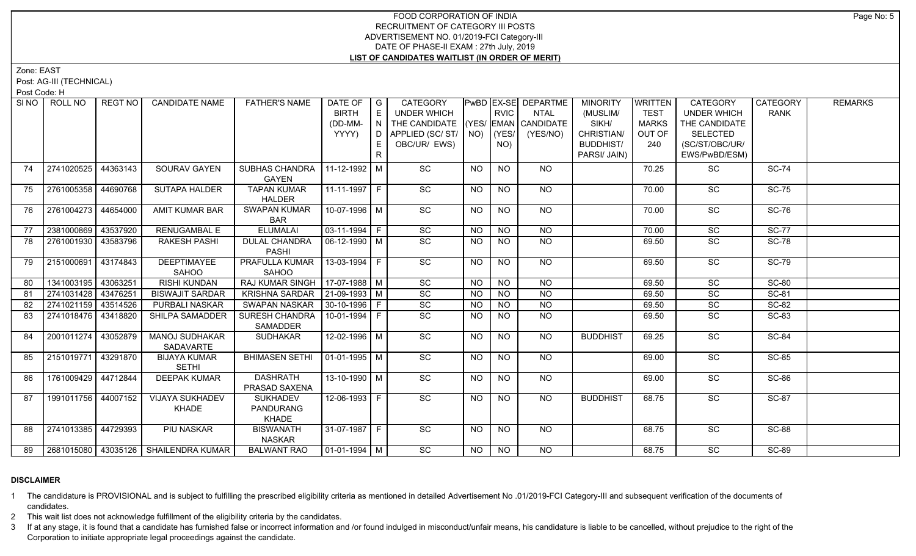Zone: EAST

Post: AG-III (TECHNICAL)

Post Code: H

|     | SINO   ROLL NO      | REGT NO  | <b>CANDIDATE NAME</b>                | <b>FATHER'S NAME</b>                                | DATE OF<br><b>BIRTH</b><br>(DD-MM-<br>YYYY) | $\overline{\phantom{a}}$ G<br>E<br>E. | CATEGORY<br><b>UNDER WHICH</b><br>THE CANDIDATE (YES/ EMAN CANDIDATE<br>APPLIED (SC/ ST/   NO)   (YES/  <br>OBC/UR/ EWS) |           | <b>RVIC</b><br>NO) | <b>PwBD EX-SE DEPARTME</b><br><b>NTAL</b><br>(YES/NO) | <b>MINORITY</b><br>(MUSLIM/<br>SIKH/<br>CHRISTIAN/<br><b>BUDDHIST/</b><br>PARSI/ JAIN) | WRITTEN<br><b>TEST</b><br><b>MARKS</b><br>OUT OF<br>240 | <b>CATEGORY</b><br><b>UNDER WHICH</b><br>THE CANDIDATE<br>SELECTED<br>(SC/ST/OBC/UR/<br>EWS/PwBD/ESM) | <b>CATEGORY</b><br><b>RANK</b> | <b>REMARKS</b> |
|-----|---------------------|----------|--------------------------------------|-----------------------------------------------------|---------------------------------------------|---------------------------------------|--------------------------------------------------------------------------------------------------------------------------|-----------|--------------------|-------------------------------------------------------|----------------------------------------------------------------------------------------|---------------------------------------------------------|-------------------------------------------------------------------------------------------------------|--------------------------------|----------------|
| 74  | 2741020525          | 44363143 | SOURAV GAYEN                         | SUBHAS CHANDRA   11-12-1992   M<br><b>GAYEN</b>     |                                             |                                       | SC                                                                                                                       | <b>NO</b> | <b>NO</b>          | NO.                                                   |                                                                                        | 70.25                                                   | SC                                                                                                    | <b>SC-74</b>                   |                |
| 75  | 2761005358          | 44690768 | SUTAPA HALDER                        | <b>TAPAN KUMAR</b><br><b>HALDER</b>                 | 11-11-1997 F                                |                                       | SC                                                                                                                       | <b>NO</b> | <b>NO</b>          | NO.                                                   |                                                                                        | 70.00                                                   | SC                                                                                                    | <b>SC-75</b>                   |                |
| 76  | 2761004273          | 44654000 | <b>AMIT KUMAR BAR</b>                | <b>SWAPAN KUMAR</b><br><b>BAR</b>                   | 10-07-1996 M                                |                                       | $\overline{SC}$                                                                                                          | <b>NO</b> | NO                 | NO                                                    |                                                                                        | 70.00                                                   | SC                                                                                                    | $SC-76$                        |                |
| 77  | 2381000869          | 43537920 | <b>RENUGAMBAL E</b>                  | <b>ELUMALAI</b>                                     | $03-11-1994$ F                              |                                       | $\overline{SC}$                                                                                                          | <b>NO</b> | <b>NO</b>          | NO.                                                   |                                                                                        | 70.00                                                   | SC                                                                                                    | <b>SC-77</b>                   |                |
| 78  | 2761001930 43583796 |          | <b>RAKESH PASHI</b>                  | <b>DULAL CHANDRA</b><br>PASHI                       | $\sqrt{06-12-1990}$ M                       |                                       | SC                                                                                                                       | NO.       | <b>NO</b>          | NO.                                                   |                                                                                        | 69.50                                                   | SC                                                                                                    | <b>SC-78</b>                   |                |
| 79  | 2151000691          | 43174843 | <b>DEEPTIMAYEE</b><br>SAHOO          | PRAFULLA KUMAR   13-03-1994   F<br><b>SAHOO</b>     |                                             |                                       | $\overline{SC}$                                                                                                          | NO        | NO                 | NO                                                    |                                                                                        | 69.50                                                   | $\overline{SC}$                                                                                       | <b>SC-79</b>                   |                |
| 80  | 1341003195          | 43063251 | <b>RISHI KUNDAN</b>                  | RAJ KUMAR SINGH   17-07-1988   M                    |                                             |                                       | SC                                                                                                                       | <b>NO</b> | <b>NO</b>          | N <sub>O</sub>                                        |                                                                                        | 69.50                                                   | SC                                                                                                    | <b>SC-80</b>                   |                |
| 81  | 2741031428          | 43476251 | <b>BISWAJIT SARDAR</b>               | KRISHNA SARDAR   21-09-1993   M                     |                                             |                                       | SC                                                                                                                       | NO.       | <b>NO</b>          | <b>NO</b>                                             |                                                                                        | 69.50                                                   | SC                                                                                                    | SC-81                          |                |
| -82 | 2741021159          | 43514526 | <b>PURBALI NASKAR</b>                | SWAPAN NASKAR                                       | $30-10-1996$ F                              |                                       | SC                                                                                                                       | NO.       | <b>NO</b>          | <b>NO</b>                                             |                                                                                        | 69.50                                                   | SC                                                                                                    | <b>SC-82</b>                   |                |
| 83  | 2741018476          | 43418820 | SHILPA SAMADDER                      | SURESH CHANDRA   10-01-1994   F<br>SAMADDER         |                                             |                                       | $\overline{SC}$                                                                                                          | NO.       | <b>NO</b>          | NO.                                                   |                                                                                        | 69.50                                                   | SC                                                                                                    | <b>SC-83</b>                   |                |
| 84  | 2001011274          | 43052879 | MANOJ SUDHAKAR<br>SADAVARTE          | <b>SUDHAKAR</b>                                     | 12-02-1996 M                                |                                       | SC                                                                                                                       | NO        | <b>NO</b>          | NO.                                                   | <b>BUDDHIST</b>                                                                        | 69.25                                                   | SC                                                                                                    | <b>SC-84</b>                   |                |
| 85  | 2151019771 43291870 |          | <b>BIJAYA KUMAR</b><br><b>SETHI</b>  | <b>BHIMASEN SETHI</b>                               | $\vert$ 01-01-1995 $\vert$ M                |                                       | SC                                                                                                                       | NO        | NO                 | NO                                                    |                                                                                        | 69.00                                                   | SC                                                                                                    | SC-85                          |                |
| 86  | 1761009429          | 44712844 | <b>DEEPAK KUMAR</b>                  | <b>DASHRATH</b><br>PRASAD SAXENA                    | 13-10-1990 M                                |                                       | SC                                                                                                                       | <b>NO</b> | <b>NO</b>          | NO.                                                   |                                                                                        | 69.00                                                   | <b>SC</b>                                                                                             | <b>SC-86</b>                   |                |
| 87  | 1991011756 44007152 |          | <b>VIJAYA SUKHADEV</b><br>KHADE      | <b>SUKHADEV</b><br><b>PANDURANG</b><br><b>KHADE</b> | 12-06-1993 F                                |                                       | $\overline{SC}$                                                                                                          | <b>NO</b> | <b>NO</b>          | NO.                                                   | <b>BUDDHIST</b>                                                                        | 68.75                                                   | SC                                                                                                    | <b>SC-87</b>                   |                |
| 88  | 2741013385          | 44729393 | <b>PIU NASKAR</b>                    | <b>BISWANATH</b><br><b>NASKAR</b>                   | 31-07-1987 F                                |                                       | $\overline{SC}$                                                                                                          | NO        | NO                 | NO.                                                   |                                                                                        | 68.75                                                   | <b>SC</b>                                                                                             | <b>SC-88</b>                   |                |
| 89  |                     |          | 2681015080 43035126 SHAILENDRA KUMAR | <b>BALWANT RAO</b>                                  | $\vert$ 01-01-1994 M                        |                                       | <b>SC</b>                                                                                                                | <b>NO</b> | NO.                | NO.                                                   |                                                                                        | 68.75                                                   | <b>SC</b>                                                                                             | <b>SC-89</b>                   |                |

# **DISCLAIMER**

1 The candidature is PROVISIONAL and is subject to fulfilling the prescribed eligibility criteria as mentioned in detailed Advertisement No .01/2019-FCI Category-III and subsequent verification of the documents of candidates.

2 This wait list does not acknowledge fulfillment of the eligibility criteria by the candidates.

3 If at any stage, it is found that a candidate has furnished false or incorrect information and /or found indulged in misconduct/unfair means, his candidature is liable to be cancelled, without prejudice to the right of t Corporation to initiate appropriate legal proceedings against the candidate.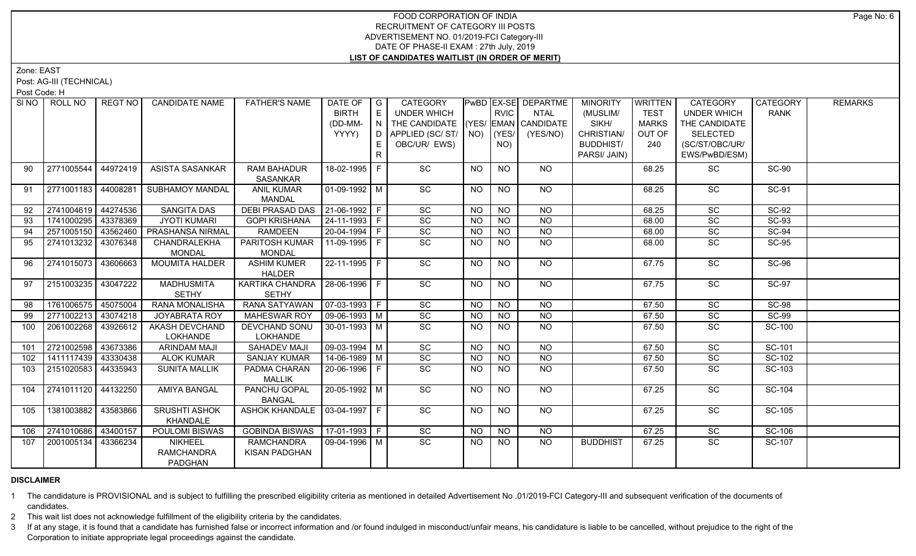Zone: EAST

Post: AG-III (TECHNICAL)

Post Code: H

| SINO | ROLL NO             | REGT NO  | <b>CANDIDATE NAME</b>  | <b>FATHER'S NAME</b>             | DATE OF $ G $<br><b>BIRTH</b> | E        | CATEGORY<br><b>UNDER WHICH</b>                            |           | <b>RVIC</b>     | PwBD EX-SE DEPARTME<br><b>NTAL</b> | <b>MINORITY</b><br>(MUSLIM/ | WRITTEN<br><b>TEST</b> | CATEGORY<br><b>UNDER WHICH</b> | <b>CATEGORY</b><br><b>RANK</b> | <b>REMARKS</b> |
|------|---------------------|----------|------------------------|----------------------------------|-------------------------------|----------|-----------------------------------------------------------|-----------|-----------------|------------------------------------|-----------------------------|------------------------|--------------------------------|--------------------------------|----------------|
|      |                     |          |                        |                                  |                               | I N      |                                                           |           |                 |                                    | SIKH/                       | <b>MARKS</b>           | THE CANDIDATE                  |                                |                |
|      |                     |          |                        |                                  | (DD-MM-<br>YYYY)              | D.       | THE CANDIDATE (YES/ EMAN CANDIDATE<br>APPLIED (SC/ST/ NO) |           | (YES/           | (YES/NO)                           | CHRISTIAN/                  | OUT OF                 | <b>SELECTED</b>                |                                |                |
|      |                     |          |                        |                                  |                               |          |                                                           |           |                 |                                    | <b>BUDDHIST/</b>            | 240                    | (SC/ST/OBC/UR/                 |                                |                |
|      |                     |          |                        |                                  |                               | E.<br>R. | OBC/UR/ EWS)                                              |           | NO)             |                                    |                             |                        |                                |                                |                |
|      |                     |          |                        |                                  |                               |          |                                                           |           |                 |                                    | PARSI/ JAIN)                |                        | EWS/PwBD/ESM)                  |                                |                |
| 90   | 2771005544          | 44972419 | <b>ASISTA SASANKAR</b> | <b>RAM BAHADUR</b><br>SASANKAR   | 18-02-1995 F                  |          | SC                                                        | <b>NO</b> | <b>NO</b>       | NO.                                |                             | 68.25                  | <b>SC</b>                      | <b>SC-90</b>                   |                |
| 91   | 2771001183          | 44008281 | <b>SUBHAMOY MANDAL</b> | <b>ANIL KUMAR</b>                | $\boxed{01-09-1992}$ M        |          | SC                                                        | <b>NO</b> | <b>NO</b>       | NO                                 |                             | 68.25                  | SC                             | <b>SC-91</b>                   |                |
|      |                     |          |                        | <b>MANDAL</b>                    |                               |          |                                                           |           |                 |                                    |                             |                        |                                |                                |                |
| 92   | 2741004619 44274536 |          | <b>SANGITA DAS</b>     | <b>DEBI PRASAD DAS</b>           | $ 21-06-1992 F$               |          | $\overline{SC}$                                           | <b>NO</b> | <b>NO</b>       | <b>NO</b>                          |                             | 68.25                  | SC                             | <b>SC-92</b>                   |                |
| 93   | 1741000295 43378369 |          | <b>JYOTI KUMARI</b>    | <b>GOPI KRISHANA</b>             | 24-11-1993 F                  |          | SC                                                        | <b>NO</b> | $\overline{NO}$ | $\overline{NO}$                    |                             | 68.00                  | $\overline{SC}$                | $SC-93$                        |                |
| 94   | 2571005150          | 43562460 | PRASHANSA NIRMAL       | <b>RAMDEEN</b>                   | $20-04-1994$ F                |          | SC                                                        | <b>NO</b> | <b>NO</b>       | N <sub>O</sub>                     |                             | 68.00                  | SC                             | $SC-94$                        |                |
| 95   | 2741013232          | 43076348 | CHANDRALEKHA           | PARITOSH KUMAR                   | 11-09-1995   F                |          | SC                                                        | <b>NO</b> | <b>NO</b>       | $\overline{NO}$                    |                             | 68.00                  | $\overline{SC}$                | <b>SC-95</b>                   |                |
|      |                     |          | <b>MONDAL</b>          | <b>MONDAL</b>                    |                               |          |                                                           |           |                 |                                    |                             |                        |                                |                                |                |
| 96   | 2741015073          | 43606663 | <b>MOUMITA HALDER</b>  | <b>ASHIM KUMER</b>               | $ 22 - 11 - 1995 $ F          |          | $\overline{SC}$                                           | <b>NO</b> | $\overline{NO}$ | $N$ <sup>O</sup>                   |                             | 67.75                  | $\overline{SC}$                | $SC-96$                        |                |
|      |                     |          |                        | <b>HALDER</b>                    |                               |          |                                                           |           |                 |                                    |                             |                        |                                |                                |                |
| 97   | 2151003235          | 43047222 | <b>MADHUSMITA</b>      | KARTIKA CHANDRA   28-06-1996   F |                               |          | $\overline{SC}$                                           | <b>NO</b> | <b>NO</b>       | NO                                 |                             | 67.75                  | <b>SC</b>                      | <b>SC-97</b>                   |                |
|      |                     |          | <b>SETHY</b>           | <b>SETHY</b>                     |                               |          |                                                           |           |                 |                                    |                             |                        |                                |                                |                |
| 98   | 1761006575 45075004 |          | <b>RANA MONALISHA</b>  | RANA SATYAWAN                    | $\boxed{07-03-1993}$ F        |          | SC                                                        | <b>NO</b> | NO              | $N$ <sup>O</sup>                   |                             | 67.50                  | $\overline{SC}$                | $SC-98$                        |                |
| 99   | 2771002213          | 43074218 | JOYABRATA ROY          | MAHESWAR ROY                     | $\sqrt{09-06-1993}$ M         |          | SC                                                        | <b>NO</b> | NO              | N <sub>O</sub>                     |                             | 67.50                  | SC                             | <b>SC-99</b>                   |                |
| 100  | 2061002268          | 43926612 | AKASH DEVCHAND         | DEVCHAND SONU                    | $30-01-1993$ M                |          | SC                                                        | <b>NO</b> | NO              | $N$ <sup>O</sup>                   |                             | 67.50                  | SC                             | SC-100                         |                |
|      |                     |          | <b>LOKHANDE</b>        | <b>LOKHANDE</b>                  |                               |          |                                                           |           |                 |                                    |                             |                        |                                |                                |                |
| 101  | 2721002598          | 43673386 | <b>ARINDAM MAJI</b>    | <b>SAHADEV MAJI</b>              | $\boxed{09 - 03 - 1994}$ M    |          | SC                                                        | <b>NO</b> | <b>NO</b>       | <b>NO</b>                          |                             | 67.50                  | SC                             | SC-101                         |                |
| 102  | 1411117439          | 43330438 | <b>ALOK KUMAR</b>      | <b>SANJAY KUMAR</b>              | $14 - 06 - 1989$ M            |          | SC                                                        | <b>NO</b> | <b>NO</b>       | <b>NO</b>                          |                             | 67.50                  | SC                             | SC-102                         |                |
| 103  | 2151020583          | 44335943 | <b>SUNITA MALLIK</b>   | PADMA CHARAN<br><b>MALLIK</b>    | 20-06-1996 F                  |          | $\overline{SC}$                                           | <b>NO</b> | <b>NO</b>       | <b>NO</b>                          |                             | 67.50                  | $\overline{SC}$                | SC-103                         |                |
| 104  | 2741011120          | 44132250 | <b>AMIYA BANGAL</b>    | PANCHU GOPAL                     | 20-05-1992 M                  |          | SC                                                        | <b>NO</b> | $\overline{NO}$ | <b>NO</b>                          |                             | 67.25                  | SC                             | SC-104                         |                |
|      |                     |          |                        | <b>BANGAL</b>                    |                               |          |                                                           |           |                 |                                    |                             |                        |                                |                                |                |
| 105  | 1381003882          | 43583866 | <b>SRUSHTI ASHOK</b>   | ASHOK KHANDALE 03-04-1997   F    |                               |          | $\overline{SC}$                                           | <b>NO</b> | NO              | $N$ <sup>O</sup>                   |                             | 67.25                  | $\overline{SC}$                | SC-105                         |                |
|      |                     |          | KHANDALE               |                                  |                               |          |                                                           |           |                 |                                    |                             |                        |                                |                                |                |
| 106  | 2741010686          | 43400157 | POULOMI BISWAS         | <b>GOBINDA BISWAS</b>            | $17-01-1993$ F                |          | SC                                                        | <b>NO</b> | <b>NO</b>       | <b>NO</b>                          |                             | 67.25                  | SC                             | SC-106                         |                |
| 107  | 2001005134          | 43366234 | <b>NIKHEEL</b>         | <b>RAMCHANDRA</b>                | 09-04-1996   M                |          | $\overline{SC}$                                           | <b>NO</b> | <b>NO</b>       | <b>NO</b>                          | <b>BUDDHIST</b>             | 67.25                  | SC                             | SC-107                         |                |
|      |                     |          | <b>RAMCHANDRA</b>      | <b>KISAN PADGHAN</b>             |                               |          |                                                           |           |                 |                                    |                             |                        |                                |                                |                |
|      |                     |          | PADGHAN                |                                  |                               |          |                                                           |           |                 |                                    |                             |                        |                                |                                |                |

# **DISCLAIMER**

1 The candidature is PROVISIONAL and is subject to fulfilling the prescribed eligibility criteria as mentioned in detailed Advertisement No .01/2019-FCI Category-III and subsequent verification of the documents of candidates.

2 This wait list does not acknowledge fulfillment of the eligibility criteria by the candidates.

3 If at any stage, it is found that a candidate has furnished false or incorrect information and /or found indulged in misconduct/unfair means, his candidature is liable to be cancelled, without prejudice to the right of t Corporation to initiate appropriate legal proceedings against the candidate.